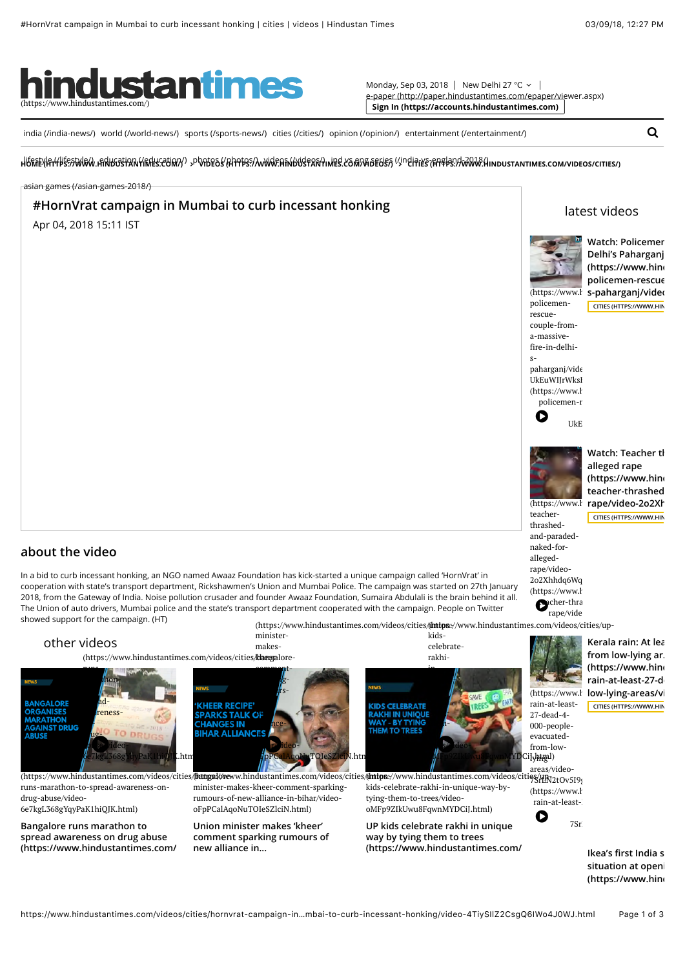

Monday, Sep 03, 2018 | New Delhi 27 °C ∨ [e-paper \(http://paper.hindustantimes.com/epaper/viewer.aspx\)](http://paper.hindustantimes.com/epaper/viewer.aspx) **[Sign In \(https://accounts.hindustantimes.com\)](https://accounts.hindustantimes.com/)**

[india \(/india-news/\)](https://www.hindustantimes.com/india-news/) [world \(/world-news/\)](https://www.hindustantimes.com/world-news/) [sports \(/sports-news/\)](https://www.hindustantimes.com/sports-news/) [cities \(/cities/\)](https://www.hindustantimes.com/cities/) [opinion \(/opinion/\)](https://www.hindustantimes.com/opinion/) [entertainment \(/entertainment/\)](https://www.hindustantimes.com/entertainment/)

HREEK|#HAJEESPANGY "HARPAFARA (HYFESPANGY) "bpYBE9R\UHAFBES\\\@GHEYERY\MES\S@\@GEGES}\{jnGIUSE\EH&BES}Y#YYYYGYUWGINDORIYYUWES.COWWDEOS\CITIES\

[asian games \(/asian-games-2018/\)](https://www.hindustantimes.com/asian-games-2018/)

## **#HornVrat campaign in Mumbai to curb incessant honking**

Apr 04, 2018 15:11 IST



**Watch: Policemer Delhi's Paharganj** (https://www.hind **policemen-rescue-couple-from-a-massive-fire-in-delhi-**

[latest videos](javascript:void(0))

**[CITIES \(HTTPS://WWW.HIN](https://www.hindustantimes.com/videos/cities/)** 

[\(https://www.h](https://www.hindustantimes.com/videos/cities/watch-policemen-rescue-couple-from-a-massive-fire-in-delhi-s-paharganj/video-UkEuWIJrWksHrayjbRMdyK.html)i**s-paharganj/videos/cities.com/videos/com/videos/cities/watch**policemenrescue-



spaharganj/vide UkEuWIIrWksI [\(https://www.h](https://www.hindustantimes.com/videos/cities/watch-policemen-rescue-couple-from-a-massive-fire-in-delhi-s-paharganj/video-UkEuWIJrWksHrayjbRMdyK.html)

> policemen-r  $\bullet$  UkE



**[Watch: Teacher th](https://www.hindustantimes.com/videos/cities/watch-teacher-thrashed-and-paraded-naked-for-alleged-rape/video-2o2Xhhdq6WqtxiRBxRh3SJ.html) alleged rape** (https://www.hind teacher-thrashed [\(https://www.h](https://www.hindustantimes.com/videos/cities/watch-teacher-thrashed-and-paraded-naked-for-alleged-rape/video-2o2Xhhdq6WqtxiRBxRh3SJ.html)i**rape/video-2o2Xh [CITIES \(HTTPS://WWW.HIN](https://www.hindustantimes.com/videos/cities/)** 

teacherthrashedand-paradednaked-forallegedrape/video-2o2Xhhdq6Wq [\(https://www.h](https://www.hindustantimes.com/videos/cities/watch-teacher-thrashed-and-paraded-naked-for-alleged-rape/video-2o2Xhhdq6WqtxiRBxRh3SJ.html)

(https://www.hindustantimes.com/videos/cities/thttps://www.hindustantimes.com/videos/cities/up- $\bullet$  rape/video-



**Ikea's first India store [situation at openi](https://www.hindustantimes.com/videos/cities/ikea-s-first-india-store-witnesses-stampede-like-situation-at-opening/video-dzFSmJOF13RSOxgbKkXirK.html)** (https://www.hind

# **about the video**

In a bid to curb incessant honking, an NGO named Awaaz Foundation has kick-started a unique campaign called 'HornVrat' in cooperation with state's transport department, Rickshawmen's Union and Mumbai Police. The campaign was started on 27th January 2018, from the Gateway of India. Noise pollution crusader and founder Awaaz Foundation, Sumaira Abdulali is the brain behind it all. The Union of auto drivers, Mumbai police and the state's transport department cooperated with the campaign. People on Twitter showed support for the campaign. (HT)

ministerkids-**Kerala rain: At lea** [other videos](https://www.hindustantimes.com/videos/cities/hornvrat-campaign-in-mumbai-to-curb-incessant-honking/video-4TiySIlZ2CsgQ6IWo4J0WJ.html#) celebratemakesrakhi-(https://www.hindustantimes.com/videos/cities/klaegalorerunscommentinit  $thon \gamma_{\rm g-}$ unique- $\frac{1}{2}$ rswayi **ANGALOPE**  $d$ byrain-at-least-**CHEED RECIPE DEI RGANISES SPARKS TALK OF** arenesstying-27-dead-4- **AARATHON HANGES IN** onncethem-000-people-**AGAINST DRUG IHAR ALLIANCE ARLISE**  $\mu$ iiii evacuated-0 **D** "  $b$  se *v*ideo- $\mathbf{r}$ <sup>l</sup>ideotrees/videofrom-low-6e7kgL368gYqyPaK1hiQJK.html) oFpPCalAqoNuTOIeSZlciN.html) **bMFp9ZIkUWW\$FqWnMYD**CiJ.html) areas/video-(https://www.hindustantimes.com/videos/cities/**/bitigs://we**ww.hindustantimes.com/videos/cities/**(intps**://www.hindustantimes.com/videos/citi<del>es/lik</del>y2tOv5I9<sub>j</sub> runs-marathon-to-spread-awareness-onminister-makes-kheer-comment-sparkingkids-celebrate-rakhi-in-unique-way-by-[\(https://www.h](https://www.hindustantimes.com/videos/cities/kerala-rain-at-least-27-dead-4-000-people-evacuated-from-low-lying-areas/video-7SrLN2tOv5I9gdv17dWCRJ.html) drug-abuse/videorumours-of-new-alliance-in-bihar/videotying-them-to-trees/videorain-at-least-27-dead-4-000-people-evacuated-from- 6e7kgL368gYqyPaK1hiQJK.html) oFpPCalAqoNuTOIeSZlciN.html) oMFp9ZIkUwu8FqwnMYDCiJ.html) **Bangalore runs marathon to Union minister makes 'kheer' UP kids celebrate rakhi in unique [comment sparking rumours of](https://www.hindustantimes.com/videos/cities/union-minister-makes-kheer-comment-sparking-rumours-of-new-alliance-in-bihar/video-oFpPCalAqoNuTOIeSZlciN.html) spread awareness on drug abuse way by tying them to trees** [\(https://www.hindustantimes.com/](https://www.hindustantimes.com/videos/cities/bangalore-runs-marathon-to-spread-awareness-on-drug-abuse/video-6e7kgL368gYqyPaK1hiQJK.html) **new alliance in... [\(https://www.hindustantimes.com/](https://www.hindustantimes.com/videos/cities/up-kids-celebrate-rakhi-in-unique-way-by-tying-them-to-trees/video-oMFp9ZIkUwu8FqwnMYDCiJ.html)videos/cities/up-**

https://www.hindustantimes.com/videos/cities/hornvrat-campaign-in…mbai-to-curb-incessant-honking/video-4TiySIlZ2CsgQ6IWo4J0WJ.html Page 1 of 3

 $\alpha$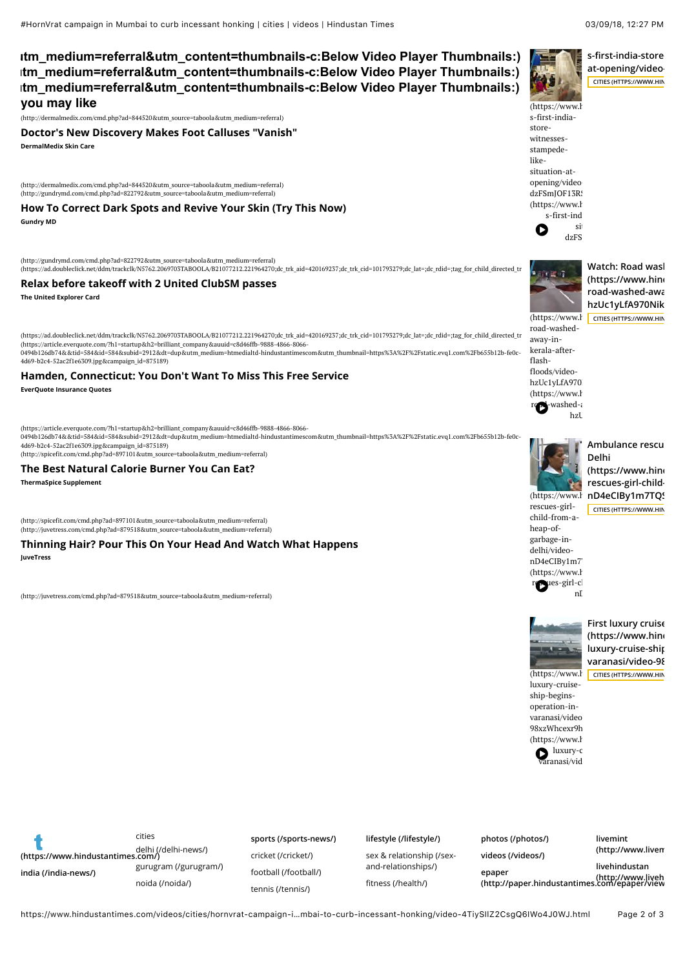# **you may like (https://popup.taboola.com/en/?template=colorbox&utm\_source=htmedialtd-hindustantimescom&[utm\\_medium=referral&utm\\_content=thumbnails-c:Below Video Player Thumbnails:\)](https://popup.taboola.com/en/?template=colorbox&utm_source=htmedialtd-hindustantimescom&utm_medium=referral&utm_content=thumbnails-c:Below%20Video%20Player%20Thumbnails:) (https://popup.taboola.com/en/?template=colorbox&utm\_source=htmedialtd-hindustantimescom&[utm\\_medium=referral&utm\\_content=thumbnails-c:Below Video Player Thumbnails:\)](https://popup.taboola.com/en/?template=colorbox&utm_source=htmedialtd-hindustantimescom&utm_medium=referral&utm_content=thumbnails-c:Below%20Video%20Player%20Thumbnails:) (https://popup.taboola.com/en/?template=colorbox&utm\_source=htmedialtd-hindustantimescom&[utm\\_medium=referral&utm\\_content=thumbnails-c:Below Video Player Thumbnails:\)](https://popup.taboola.com/en/?template=colorbox&utm_source=htmedialtd-hindustantimescom&utm_medium=referral&utm_content=thumbnails-c:Below%20Video%20Player%20Thumbnails:)**

[\(http://dermalmedix.com/cmd.php?ad=844520&utm\\_source=taboola&utm\\_medium=referral\)](http://dermalmedix.com/cmd.php?ad=844520&utm_source=taboola&utm_medium=referral)

**DermalMedix Skin Care [Doctor's New Discovery Makes Foot Calluses "Vanish"](http://dermalmedix.com/cmd.php?ad=844520&utm_source=taboola&utm_medium=referral)**

(http://dermalmedix.com/cmd.php?ad=844520&utm\_source=taboola&utm\_medium=referral) [\(http://gundrymd.com/cmd.php?ad=822792&utm\\_source=taboola&utm\\_medium=referral\)](http://gundrymd.com/cmd.php?ad=822792&utm_source=taboola&utm_medium=referral)

**Gundry MD [How To Correct Dark Spots and Revive Your Skin \(Try This Now\)](http://gundrymd.com/cmd.php?ad=822792&utm_source=taboola&utm_medium=referral)**

(http://gundrymd.com/cmd.php?ad=822792&utm\_source=taboola&utm\_medium=referral)

[\(https://ad.doubleclick.net/ddm/trackclk/N5762.2069703TABOOLA/B21077212.221964270;dc\\_trk\\_aid=420169237;dc\\_trk\\_cid=101793279;dc\\_lat=;dc\\_rdid=;tag\\_for\\_child\\_directed\\_tr](https://ad.doubleclick.net/ddm/trackclk/N5762.2069703TABOOLA/B21077212.221964270;dc_trk_aid=420169237;dc_trk_cid=101793279;dc_lat=;dc_rdid=;tag_for_child_directed_treatment=;tfua=)eatment=;tecatment=;tecatment=;tecatment=;tecatment=;tec

#### **Relax before takeoff with 2 United ClubSM passes**

**The United Explorer Card**

[\(https://ad.doubleclick.net/ddm/trackclk/N5762.2069703TABOOLA/B21077212.221964270;dc\\_trk\\_aid=420169237;dc\\_trk\\_cid=101793279;dc\\_lat=;dc\\_rdid=;tag\\_for\\_child\\_directed\\_tr](https://ad.doubleclick.net/ddm/trackclk/N5762.2069703TABOOLA/B21077212.221964270;dc_trk_aid=420169237;dc_trk_cid=101793279;dc_lat=;dc_rdid=;tag_for_child_directed_treatment=;tfua=) (https://article.everquote.com/?h1=startup&h2=brilliant\_company&auuid=c8d46ffb-9888-4866-8066-<br>0494b126db74&&tid=584&id=584&subid=2912&dt=dup&utm\_medium=htmedialtd-hindustantimescom&utm\_thumbnail=https%3A%2F%2Fstatic.evq1. 4d69-b2c4-52ac2f1e6309.jpg&campaign\_id=875189)

#### **[Hamden, Connecticut: You Don't Want To Miss This Free Service](https://article.everquote.com/?h1=startup&h2=brilliant_company&auuid=c8d46ffb-9888-4866-8066-0494b126db74&&tid=584&id=584&subid=2912&dt=dup&utm_medium=htmedialtd-hindustantimescom&utm_thumbnail=https%3A%2F%2Fstatic.evq1.com%2Fb655b12b-fe0c-4d69-b2c4-52ac2f1e6309.jpg&campaign_id=875189)**

**EverQuote Insurance Quotes**

(https://article.everquote.com/?h1=startup&h2=brilliant\_company&auuid=c8d46ffb-9888-4866-8066- 0494b126db74&&tid=584&id=584&subid=2912&dt=dup&utm\_medium=htmedialtd-hindustantimescom&utm\_thumbnail=https%3A%2F%2Fstatic.evq1.com%2Fb655b12b-fe0c-4d69-b2c4-52ac2f1e6309.jpg&campaign\_id=875189) [\(http://spicefit.com/cmd.php?ad=897101&utm\\_source=taboola&utm\\_medium=referral\)](http://spicefit.com/cmd.php?ad=897101&utm_source=taboola&utm_medium=referral)

### **[The Best Natural Calorie Burner You Can Eat?](http://spicefit.com/cmd.php?ad=897101&utm_source=taboola&utm_medium=referral)**

**ThermaSpice Supplement**

(http://spicefit.com/cmd.php?ad=897101&utm\_source=taboola&utm\_medium=referral) [\(http://juvetress.com/cmd.php?ad=879518&utm\\_source=taboola&utm\\_medium=referral\)](http://juvetress.com/cmd.php?ad=879518&utm_source=taboola&utm_medium=referral)

**JuveTress [Thinning Hair? Pour This On Your Head And Watch What Happens](http://juvetress.com/cmd.php?ad=879518&utm_source=taboola&utm_medium=referral)**

(http://juvetress.com/cmd.php?ad=879518&utm\_source=taboola&utm\_medium=referral)



[\(https://www.h](https://www.hindustantimes.com/videos/cities/ikea-s-first-india-store-witnesses-stampede-like-situation-at-opening/video-dzFSmJOF13RSOxgbKkXirK.html) s-first-indiastorewitnesses-

**Watch: Road was** (https://www.hind **road-washed-away-in-kerala-after-flash-floods/video**hzUc1yLfA970Nik (https://www.https://www.hi[ndustantimes.com/vid](https://www.hindustantimes.com/videos/cities/)eos/com/videos/

road-washedaway-inkerala-afterflashfloods/videohzUc1yLfA970 [\(https://www.h](https://www.hindustantimes.com/videos/cities/watch-road-washed-away-in-kerala-after-flash-floods/video-hzUc1yLfA970NikLzlHwCL.html)  $r$ **exa**-washed-and-floods- $h$ z**l** 

**[Ambulance rescu](https://www.hindustantimes.com/videos/cities/ambulance-rescues-girl-child-from-a-heap-of-garbage-in-delhi/video-nD4eCIBy1m7TQSDvXB5s9O.html) Delhi** (https://www.hind rescues-girl-child-[\(https://www.h](https://www.hindustantimes.com/videos/cities/ambulance-rescues-girl-child-from-a-heap-of-garbage-in-delhi/video-nD4eCIBy1m7TQSDvXB5s9O.html)i**nD4eCIBy1m7TQ! [CITIES \(HTTPS://WWW.HIN](https://www.hindustantimes.com/videos/cities/)** 

rescues-girlchild-from-aheap-ofgarbage-indelhi/videonD4eCIBy1m7



mainhoáil

**[First luxury cruise](https://www.hindustantimes.com/videos/cities/first-luxury-cruise-ship-begins-operation-in-varanasi/video-98xzWhcexr9hyax3kGrSqK.html) (https://www.hindustantimes.com/videos/cities/first**luxury-cruise-ship  $varanasi/video-98$ 

luxury-cruiseship-beginsoperation-invaranasi/video-98xzWhcexr9h [\(https://www.h](https://www.hindustantimes.com/videos/cities/first-luxury-cruise-ship-begins-operation-in-varanasi/video-98xzWhcexr9hyax3kGrSqK.html)  $\sum_{\text{aranasi}/\text{vid}}$ 

[\(https://www.h](https://www.hindustantimes.com/videos/cities/first-luxury-cruise-ship-begins-operation-in-varanasi/video-98xzWhcexr9hyax3kGrSqK.html)ttps://www.hi[ndustantimes.com/vid](https://www.hindustantimes.com/videos/cities/)eos/first-

**[\(https://www.hindustantimes.com/\)](https://www.hindustantimes.com/) [india \(/india-news/\)](https://www.hindustantimes.com/india-news/)** [delhi \(/delhi-news/\)](https://www.hindustantimes.com/delhi-news/) [gurugram \(/gurugram/\)](https://www.hindustantimes.com/gurugram/) [noida \(/noida/\)](https://www.hindustantimes.com/noida/) cities

[cricket \(/cricket/\)](https://www.hindustantimes.com/cricket/) [football \(/football/\)](https://www.hindustantimes.com/football/) [tennis \(/tennis/\)](https://www.hindustantimes.com/tennis/)

**[sports \(/sports-news/\)](https://www.hindustantimes.com/sports-news/)**

[sex & relationship \(/sex-](https://www.hindustantimes.com/sex-and-relationships/)

and-relationships/) fi[tness \(/health/\)](https://www.hindustantimes.com/health/)

**[lifestyle \(/lifestyle/\)](https://www.hindustantimes.com/lifestyle/) [photos \(/photos/\)](https://www.hindustantimes.com/photos/) [videos \(/videos/\)](https://www.hindustantimes.com/videos/) epaper**

**livemint [\(http://www.livem](http://www.livemint.com/)int.com/)**

**[\(http://paper.hindustantimes.com/epaper/view](http://paper.hindustantimes.com/epaper/viewer.aspx)er.aspx) [\(http://www.liveh](http://www.livehindustan.com/)industan.com/)livehindustan**

https://www.hindustantimes.com/videos/cities/hornvrat-campaign-i…mbai-to-curb-incessant-honking/video-4TiySIlZ2CsgQ6IWo4J0WJ.html Page 2 of 3

 $s$ -first-india-store  $at$ -opening/video-**[CITIES \(HTTPS://WWW.HIN](https://www.hindustantimes.com/videos/cities/)**